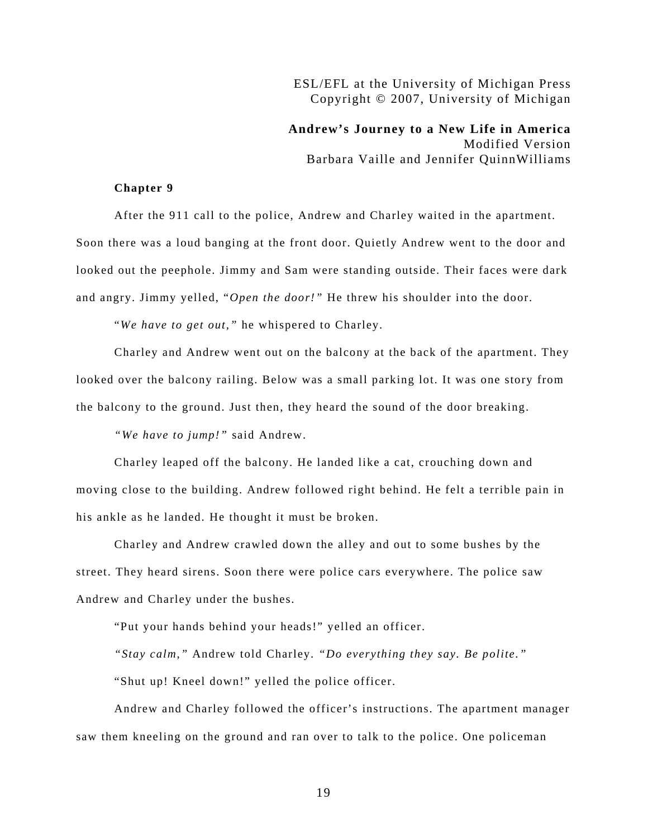## ESL/EFL at the University of Michigan Press Copyright © 2007, University of Michigan

**Andrew's Journey to a New Life in America**  Modified Version Barbara Vaille and Jennifer QuinnWilliams

## **Chapter 9**

After the 911 call to the police, Andrew and Charley waited in the apartment. Soon there was a loud banging at the front door. Quietly Andrew went to the door and looked out the peephole. Jimmy and Sam were standing outside. Their faces were dark and angry. Jimmy yelled, "*Open the door!"* He threw his shoulder into the door.

"*We have to get out,"* he whispered to Charley.

Charley and Andrew went out on the balcony at the back of the apartment. They looked over the balcony railing. Below was a small parking lot. It was one story from the balcony to the ground. Just then, they heard the sound of the door breaking.

*"We have to jump!"* said Andrew.

Charley leaped off the balcony. He landed like a cat, crouching down and moving close to the building. Andrew followed right behind. He felt a terrible pain in his ankle as he landed. He thought it must be broken.

Charley and Andrew crawled down the alley and out to some bushes by the street. They heard sirens. Soon there were police cars everywhere. The police saw Andrew and Charley under the bushes.

"Put your hands behind your heads!" yelled an officer.

*"Stay calm,"* Andrew told Charley. *"Do everything they say. Be polite."* 

"Shut up! Kneel down!" yelled the police officer.

Andrew and Charley followed the officer's instructions. The apartment manager saw them kneeling on the ground and ran over to talk to the police. One policeman

19